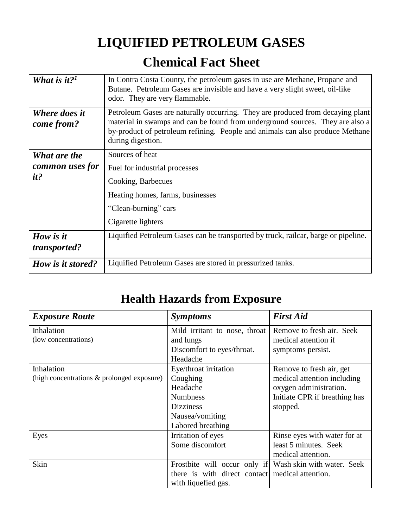## **LIQUIFIED PETROLEUM GASES Chemical Fact Sheet**

| What is it? <sup>1</sup>    | In Contra Costa County, the petroleum gases in use are Methane, Propane and<br>Butane. Petroleum Gases are invisible and have a very slight sweet, oil-like<br>odor. They are very flammable.                                                                         |  |  |
|-----------------------------|-----------------------------------------------------------------------------------------------------------------------------------------------------------------------------------------------------------------------------------------------------------------------|--|--|
| Where does it<br>come from? | Petroleum Gases are naturally occurring. They are produced from decaying plant<br>material in swamps and can be found from underground sources. They are also a<br>by-product of petroleum refining. People and animals can also produce Methane<br>during digestion. |  |  |
| What are the                | Sources of heat                                                                                                                                                                                                                                                       |  |  |
| common uses for<br>it?      | Fuel for industrial processes                                                                                                                                                                                                                                         |  |  |
|                             | Cooking, Barbecues                                                                                                                                                                                                                                                    |  |  |
|                             | Heating homes, farms, businesses                                                                                                                                                                                                                                      |  |  |
|                             | "Clean-burning" cars                                                                                                                                                                                                                                                  |  |  |
|                             | Cigarette lighters                                                                                                                                                                                                                                                    |  |  |
| How is it                   | Liquified Petroleum Gases can be transported by truck, railcar, barge or pipeline.                                                                                                                                                                                    |  |  |
| transported?                |                                                                                                                                                                                                                                                                       |  |  |
| How is it stored?           | Liquified Petroleum Gases are stored in pressurized tanks.                                                                                                                                                                                                            |  |  |

## **Health Hazards from Exposure**

| <b>Exposure Route</b>                      | <i>Symptoms</i>                                         | <b>First Aid</b>              |
|--------------------------------------------|---------------------------------------------------------|-------------------------------|
| Inhalation                                 | Mild irritant to nose, throat                           | Remove to fresh air. Seek     |
| (low concentrations)                       | and lungs                                               | medical attention if          |
|                                            | Discomfort to eyes/throat.                              | symptoms persist.             |
|                                            | Headache                                                |                               |
| Inhalation                                 | Eye/throat irritation                                   | Remove to fresh air, get      |
| (high concentrations & prolonged exposure) | Coughing                                                | medical attention including   |
|                                            | Headache                                                | oxygen administration.        |
|                                            | <b>Numbness</b>                                         | Initiate CPR if breathing has |
|                                            | <b>Dizziness</b>                                        | stopped.                      |
|                                            | Nausea/vomiting                                         |                               |
|                                            | Labored breathing                                       |                               |
| Eyes                                       | Irritation of eyes                                      | Rinse eyes with water for at  |
|                                            | Some discomfort                                         | least 5 minutes. Seek         |
|                                            |                                                         | medical attention.            |
| Skin                                       | Frostbite will occur only if Wash skin with water. Seek |                               |
|                                            | there is with direct contact medical attention.         |                               |
|                                            | with liquefied gas.                                     |                               |